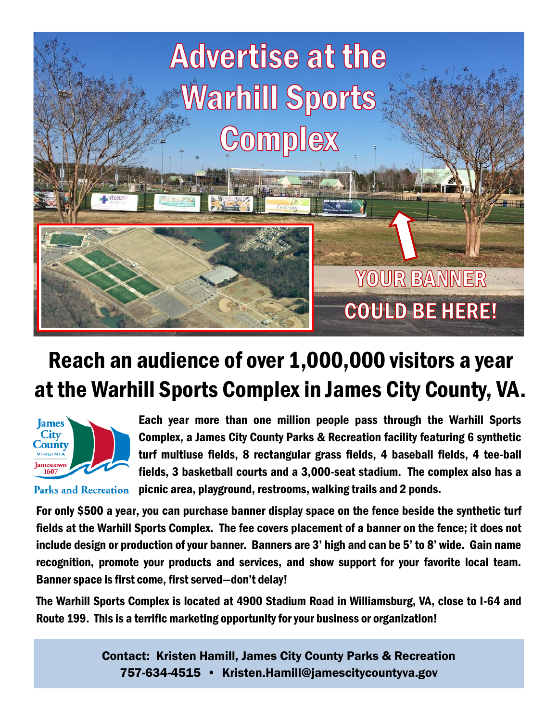

# Reach an audience of over 1,000,000 visitors a year at the Warhill Sports Complex in James City County, VA.



**Parks and Recreation** 

Each year more than one million people pass through the Warhill Sports Complex, a James City County Parks & Recreation facility featuring 6 synthetic turf multiuse fields, 8 rectangular grass fields, 4 baseball fields, 4 tee-ball fields, 3 basketball courts and a 3,000-seat stadium. The complex also has a picnic area, playground, restrooms, walking trails and 2 ponds.

For only \$500 a year, you can purchase banner display space on the fence beside the synthetic turf fields at the Warhill Sports Complex. The fee covers placement of a banner on the fence; it does not include design or production of your banner. Banners are 3' high and can be 5' to 8' wide. Gain name recognition, promote your products and services, and show support for your favorite local team. Banner space is first come, first served—don't delay!

The Warhill Sports Complex is located at 4900 Stadium Road in Williamsburg, VA, close to I-64 and Route 199. This is a terrific marketing opportunity for your business or organization!

> Contact: Kristen Hamill, James City County Parks & Recreation 757-634-4515 • Kristen.Hamill@jamescitycountyva.gov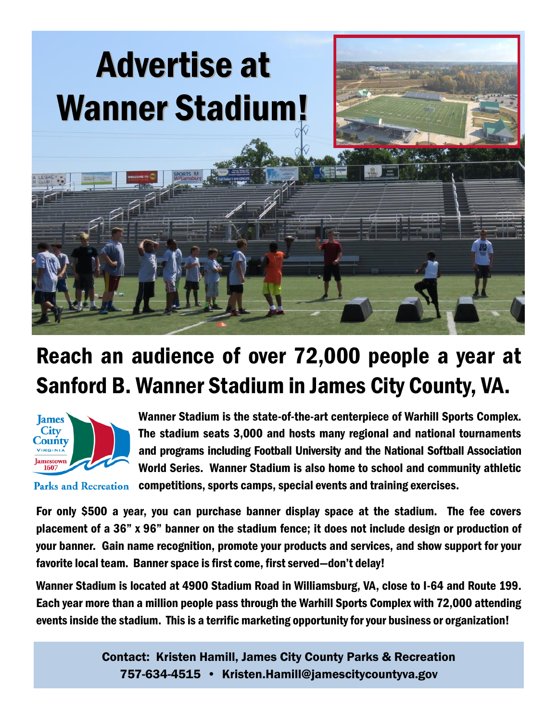

# Reach an audience of over 72,000 people a year at Sanford B. Wanner Stadium in James City County, VA.



Wanner Stadium is the state-of-the-art centerpiece of Warhill Sports Complex. The stadium seats 3,000 and hosts many regional and national tournaments and programs including Football University and the National Softball Association World Series. Wanner Stadium is also home to school and community athletic

**Parks and Recreation** competitions, sports camps, special events and training exercises.

For only \$500 a year, you can purchase banner display space at the stadium. The fee covers placement of a 36" x 96" banner on the stadium fence; it does not include design or production of your banner. Gain name recognition, promote your products and services, and show support for your favorite local team. Banner space is first come, first served—don't delay!

Wanner Stadium is located at 4900 Stadium Road in Williamsburg, VA, close to I-64 and Route 199. Each year more than a million people pass through the Warhill Sports Complex with 72,000 attending events inside the stadium. This is a terrific marketing opportunity for your business or organization!

> Contact: Kristen Hamill, James City County Parks & Recreation 757-634-4515 • Kristen.Hamill@jamescitycountyva.gov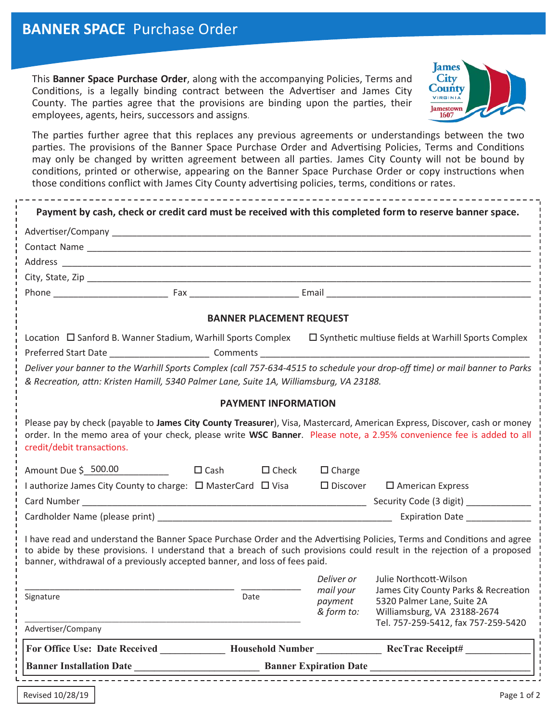This **Banner Space Purchase Order**, along with the accompanying Policies, Terms and Conditions, is a legally binding contract between the Advertiser and James City County. The parties agree that the provisions are binding upon the parties, their employees, agents, heirs, successors and assigns.



The parties further agree that this replaces any previous agreements or understandings between the two parties. The provisions of the Banner Space Purchase Order and Advertising Policies, Terms and Conditions may only be changed by written agreement between all parties. James City County will not be bound by conditions, printed or otherwise, appearing on the Banner Space Purchase Order or copy instructions when those conditions conflict with James City County advertising policies, terms, conditions or rates.

| Payment by cash, check or credit card must be received with this completed form to reserve banner space.                                                                                                                                                                                                                         |  |                 |                                                                                                                              |                                                                                                   |
|----------------------------------------------------------------------------------------------------------------------------------------------------------------------------------------------------------------------------------------------------------------------------------------------------------------------------------|--|-----------------|------------------------------------------------------------------------------------------------------------------------------|---------------------------------------------------------------------------------------------------|
|                                                                                                                                                                                                                                                                                                                                  |  |                 |                                                                                                                              |                                                                                                   |
|                                                                                                                                                                                                                                                                                                                                  |  |                 |                                                                                                                              |                                                                                                   |
|                                                                                                                                                                                                                                                                                                                                  |  |                 |                                                                                                                              |                                                                                                   |
|                                                                                                                                                                                                                                                                                                                                  |  |                 |                                                                                                                              |                                                                                                   |
|                                                                                                                                                                                                                                                                                                                                  |  |                 |                                                                                                                              |                                                                                                   |
| <b>BANNER PLACEMENT REQUEST</b>                                                                                                                                                                                                                                                                                                  |  |                 |                                                                                                                              |                                                                                                   |
|                                                                                                                                                                                                                                                                                                                                  |  |                 | Location $\Box$ Sanford B. Wanner Stadium, Warhill Sports Complex $\Box$ Synthetic multiuse fields at Warhill Sports Complex |                                                                                                   |
|                                                                                                                                                                                                                                                                                                                                  |  |                 |                                                                                                                              |                                                                                                   |
| Deliver your banner to the Warhill Sports Complex (call 757-634-4515 to schedule your drop-off time) or mail banner to Parks<br>& Recreation, attn: Kristen Hamill, 5340 Palmer Lane, Suite 1A, Williamsburg, VA 23188.                                                                                                          |  |                 |                                                                                                                              |                                                                                                   |
| <b>PAYMENT INFORMATION</b>                                                                                                                                                                                                                                                                                                       |  |                 |                                                                                                                              |                                                                                                   |
| Please pay by check (payable to James City County Treasurer), Visa, Mastercard, American Express, Discover, cash or money<br>order. In the memo area of your check, please write WSC Banner. Please note, a 2.95% convenience fee is added to all<br>credit/debit transactions.                                                  |  |                 |                                                                                                                              |                                                                                                   |
| Amount Due $\zeta$ 500.00 $\Box$ Cash                                                                                                                                                                                                                                                                                            |  | $\square$ Check | $\Box$ Charge                                                                                                                |                                                                                                   |
| I authorize James City County to charge: □ MasterCard □ Visa □ Discover □ American Express                                                                                                                                                                                                                                       |  |                 |                                                                                                                              |                                                                                                   |
|                                                                                                                                                                                                                                                                                                                                  |  |                 |                                                                                                                              |                                                                                                   |
|                                                                                                                                                                                                                                                                                                                                  |  |                 |                                                                                                                              |                                                                                                   |
| I have read and understand the Banner Space Purchase Order and the Advertising Policies, Terms and Conditions and agree<br>to abide by these provisions. I understand that a breach of such provisions could result in the rejection of a proposed<br>banner, withdrawal of a previously accepted banner, and loss of fees paid. |  |                 |                                                                                                                              |                                                                                                   |
|                                                                                                                                                                                                                                                                                                                                  |  |                 | Deliver or                                                                                                                   | Julie Northcott-Wilson                                                                            |
| Signature                                                                                                                                                                                                                                                                                                                        |  | Date            | mail your<br>payment<br>& form to:                                                                                           | James City County Parks & Recreation<br>5320 Palmer Lane, Suite 2A<br>Williamsburg, VA 23188-2674 |
| Advertiser/Company                                                                                                                                                                                                                                                                                                               |  |                 |                                                                                                                              | Tel. 757-259-5412, fax 757-259-5420                                                               |
|                                                                                                                                                                                                                                                                                                                                  |  |                 |                                                                                                                              | For Office Use: Date Received Household Number RecTrac Receipt#                                   |
| Banner Expiration Date<br><b>Banner Installation Date</b>                                                                                                                                                                                                                                                                        |  |                 |                                                                                                                              |                                                                                                   |
|                                                                                                                                                                                                                                                                                                                                  |  |                 |                                                                                                                              |                                                                                                   |